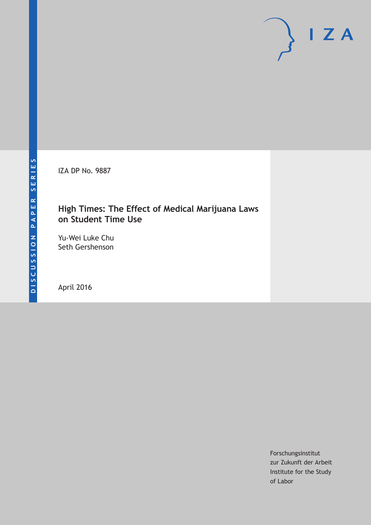IZA DP No. 9887

## **High Times: The Effect of Medical Marijuana Laws on Student Time Use**

Yu-Wei Luke Chu Seth Gershenson

April 2016

Forschungsinstitut zur Zukunft der Arbeit Institute for the Study of Labor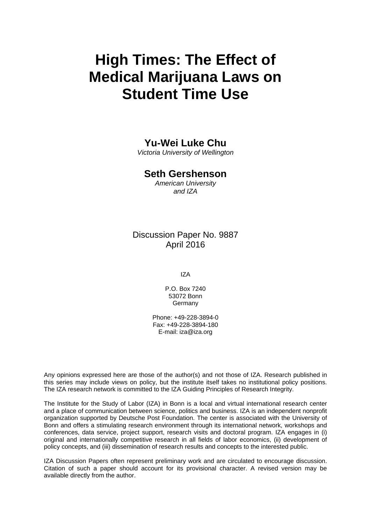# **High Times: The Effect of Medical Marijuana Laws on Student Time Use**

## **Yu-Wei Luke Chu**

*Victoria University of Wellington* 

### **Seth Gershenson**

*American University and IZA* 

## Discussion Paper No. 9887 April 2016

IZA

P.O. Box 7240 53072 Bonn **Germany** 

Phone: +49-228-3894-0 Fax: +49-228-3894-180 E-mail: iza@iza.org

Any opinions expressed here are those of the author(s) and not those of IZA. Research published in this series may include views on policy, but the institute itself takes no institutional policy positions. The IZA research network is committed to the IZA Guiding Principles of Research Integrity.

The Institute for the Study of Labor (IZA) in Bonn is a local and virtual international research center and a place of communication between science, politics and business. IZA is an independent nonprofit organization supported by Deutsche Post Foundation. The center is associated with the University of Bonn and offers a stimulating research environment through its international network, workshops and conferences, data service, project support, research visits and doctoral program. IZA engages in (i) original and internationally competitive research in all fields of labor economics, (ii) development of policy concepts, and (iii) dissemination of research results and concepts to the interested public.

IZA Discussion Papers often represent preliminary work and are circulated to encourage discussion. Citation of such a paper should account for its provisional character. A revised version may be available directly from the author.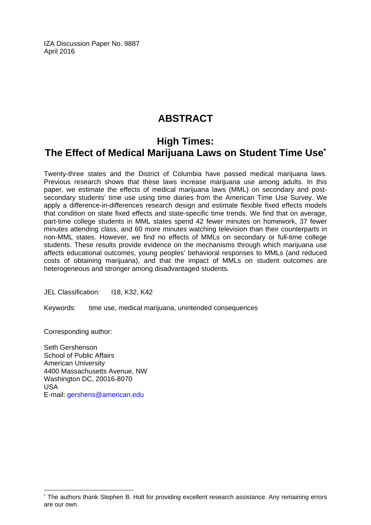IZA Discussion Paper No. 9887 April 2016

# **ABSTRACT**

## **High Times: The Effect of Medical Marijuana Laws on Student Time Use\***

Twenty-three states and the District of Columbia have passed medical marijuana laws. Previous research shows that these laws increase marijuana use among adults. In this paper, we estimate the effects of medical marijuana laws (MML) on secondary and postsecondary students' time use using time diaries from the American Time Use Survey. We apply a difference-in-differences research design and estimate flexible fixed effects models that condition on state fixed effects and state-specific time trends. We find that on average, part-time college students in MML states spend 42 fewer minutes on homework, 37 fewer minutes attending class, and 60 more minutes watching television than their counterparts in non-MML states. However, we find no effects of MMLs on secondary or full-time college students. These results provide evidence on the mechanisms through which marijuana use affects educational outcomes, young peoples' behavioral responses to MMLs (and reduced costs of obtaining marijuana), and that the impact of MMLs on student outcomes are heterogeneous and stronger among disadvantaged students.

JEL Classification: I18, K32, K42

Keywords: time use, medical marijuana, unintended consequences

Corresponding author:

 $\overline{a}$ 

Seth Gershenson School of Public Affairs American University 4400 Massachusetts Avenue, NW Washington DC, 20016-8070 USA E-mail: gershens@american.edu

<sup>\*</sup> The authors thank Stephen B. Holt for providing excellent research assistance. Any remaining errors are our own.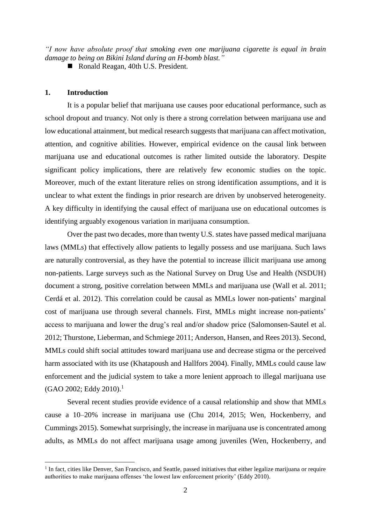*"I now have absolute proof that smoking even one marijuana cigarette is equal in brain damage to being on Bikini Island during an H-bomb blast."*

Ronald Reagan, 40th U.S. President.

#### **1. Introduction**

1

It is a popular belief that marijuana use causes poor educational performance, such as school dropout and truancy. Not only is there a strong correlation between marijuana use and low educational attainment, but medical research suggests that marijuana can affect motivation, attention, and cognitive abilities. However, empirical evidence on the causal link between marijuana use and educational outcomes is rather limited outside the laboratory. Despite significant policy implications, there are relatively few economic studies on the topic. Moreover, much of the extant literature relies on strong identification assumptions, and it is unclear to what extent the findings in prior research are driven by unobserved heterogeneity. A key difficulty in identifying the causal effect of marijuana use on educational outcomes is identifying arguably exogenous variation in marijuana consumption.

Over the past two decades, more than twenty U.S. states have passed medical marijuana laws (MMLs) that effectively allow patients to legally possess and use marijuana. Such laws are naturally controversial, as they have the potential to increase illicit marijuana use among non-patients. Large surveys such as the National Survey on Drug Use and Health (NSDUH) document a strong, positive correlation between MMLs and marijuana use (Wall et al. 2011; Cerdá et al. 2012). This correlation could be causal as MMLs lower non-patients' marginal cost of marijuana use through several channels. First, MMLs might increase non-patients' access to marijuana and lower the drug's real and/or shadow price (Salomonsen-Sautel et al. 2012; Thurstone, Lieberman, and Schmiege 2011; Anderson, Hansen, and Rees 2013). Second, MMLs could shift social attitudes toward marijuana use and decrease stigma or the perceived harm associated with its use (Khatapoush and Hallfors 2004). Finally, MMLs could cause law enforcement and the judicial system to take a more lenient approach to illegal marijuana use (GAO 2002; Eddy 2010). 1

Several recent studies provide evidence of a causal relationship and show that MMLs cause a 10–20% increase in marijuana use (Chu 2014, 2015; Wen, Hockenberry, and Cummings 2015). Somewhat surprisingly, the increase in marijuana use is concentrated among adults, as MMLs do not affect marijuana usage among juveniles (Wen, Hockenberry, and

<sup>&</sup>lt;sup>1</sup> In fact, cities like Denver, San Francisco, and Seattle, passed initiatives that either legalize marijuana or require authorities to make marijuana offenses 'the lowest law enforcement priority' (Eddy 2010).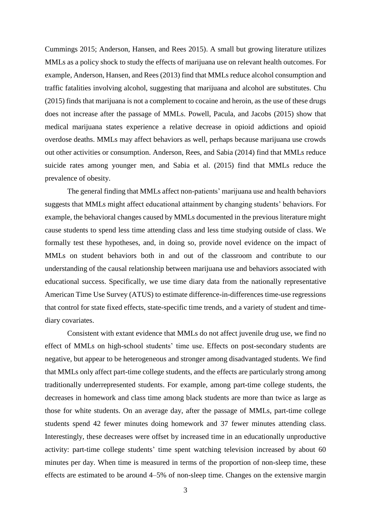Cummings 2015; Anderson, Hansen, and Rees 2015). A small but growing literature utilizes MMLs as a policy shock to study the effects of marijuana use on relevant health outcomes. For example, Anderson, Hansen, and Rees (2013) find that MMLs reduce alcohol consumption and traffic fatalities involving alcohol, suggesting that marijuana and alcohol are substitutes. Chu (2015) finds that marijuana is not a complement to cocaine and heroin, as the use of these drugs does not increase after the passage of MMLs. Powell, Pacula, and Jacobs (2015) show that medical marijuana states experience a relative decrease in opioid addictions and opioid overdose deaths. MMLs may affect behaviors as well, perhaps because marijuana use crowds out other activities or consumption. Anderson, Rees, and Sabia (2014) find that MMLs reduce suicide rates among younger men, and Sabia et al. (2015) find that MMLs reduce the prevalence of obesity.

The general finding that MMLs affect non-patients' marijuana use and health behaviors suggests that MMLs might affect educational attainment by changing students' behaviors. For example, the behavioral changes caused by MMLs documented in the previous literature might cause students to spend less time attending class and less time studying outside of class. We formally test these hypotheses, and, in doing so, provide novel evidence on the impact of MMLs on student behaviors both in and out of the classroom and contribute to our understanding of the causal relationship between marijuana use and behaviors associated with educational success. Specifically, we use time diary data from the nationally representative American Time Use Survey (ATUS) to estimate difference-in-differences time-use regressions that control for state fixed effects, state-specific time trends, and a variety of student and timediary covariates.

Consistent with extant evidence that MMLs do not affect juvenile drug use, we find no effect of MMLs on high-school students' time use. Effects on post-secondary students are negative, but appear to be heterogeneous and stronger among disadvantaged students. We find that MMLs only affect part-time college students, and the effects are particularly strong among traditionally underrepresented students. For example, among part-time college students, the decreases in homework and class time among black students are more than twice as large as those for white students. On an average day, after the passage of MMLs, part-time college students spend 42 fewer minutes doing homework and 37 fewer minutes attending class. Interestingly, these decreases were offset by increased time in an educationally unproductive activity: part-time college students' time spent watching television increased by about 60 minutes per day. When time is measured in terms of the proportion of non-sleep time, these effects are estimated to be around 4–5% of non-sleep time. Changes on the extensive margin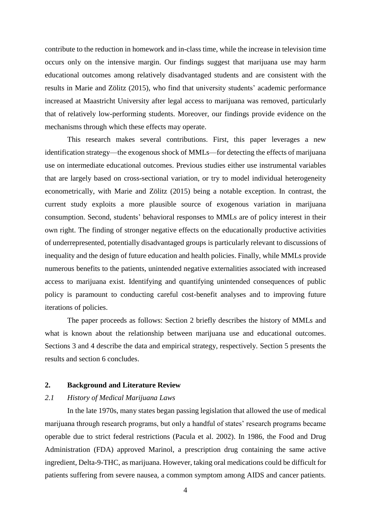contribute to the reduction in homework and in-class time, while the increase in television time occurs only on the intensive margin. Our findings suggest that marijuana use may harm educational outcomes among relatively disadvantaged students and are consistent with the results in Marie and Zölitz (2015), who find that university students' academic performance increased at Maastricht University after legal access to marijuana was removed, particularly that of relatively low-performing students. Moreover, our findings provide evidence on the mechanisms through which these effects may operate.

This research makes several contributions. First, this paper leverages a new identification strategy—the exogenous shock of MMLs—for detecting the effects of marijuana use on intermediate educational outcomes. Previous studies either use instrumental variables that are largely based on cross-sectional variation, or try to model individual heterogeneity econometrically, with Marie and Zölitz (2015) being a notable exception. In contrast, the current study exploits a more plausible source of exogenous variation in marijuana consumption. Second, students' behavioral responses to MMLs are of policy interest in their own right. The finding of stronger negative effects on the educationally productive activities of underrepresented, potentially disadvantaged groups is particularly relevant to discussions of inequality and the design of future education and health policies. Finally, while MMLs provide numerous benefits to the patients, unintended negative externalities associated with increased access to marijuana exist. Identifying and quantifying unintended consequences of public policy is paramount to conducting careful cost-benefit analyses and to improving future iterations of policies.

The paper proceeds as follows: Section 2 briefly describes the history of MMLs and what is known about the relationship between marijuana use and educational outcomes. Sections 3 and 4 describe the data and empirical strategy, respectively. Section 5 presents the results and section 6 concludes.

#### **2. Background and Literature Review**

#### *2.1 History of Medical Marijuana Laws*

In the late 1970s, many states began passing legislation that allowed the use of medical marijuana through research programs, but only a handful of states' research programs became operable due to strict federal restrictions (Pacula et al. 2002). In 1986, the Food and Drug Administration (FDA) approved Marinol, a prescription drug containing the same active ingredient, Delta-9-THC, as marijuana. However, taking oral medications could be difficult for patients suffering from severe nausea, a common symptom among AIDS and cancer patients.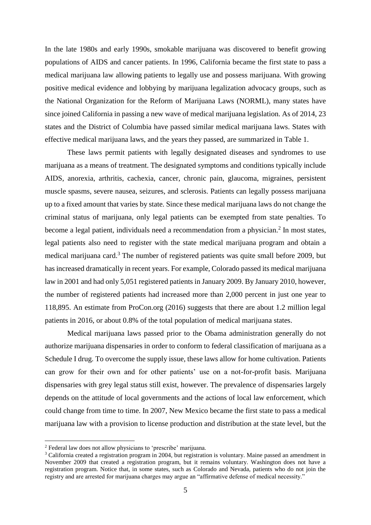In the late 1980s and early 1990s, smokable marijuana was discovered to benefit growing populations of AIDS and cancer patients. In 1996, California became the first state to pass a medical marijuana law allowing patients to legally use and possess marijuana. With growing positive medical evidence and lobbying by marijuana legalization advocacy groups, such as the National Organization for the Reform of Marijuana Laws (NORML), many states have since joined California in passing a new wave of medical marijuana legislation. As of 2014, 23 states and the District of Columbia have passed similar medical marijuana laws. States with effective medical marijuana laws, and the years they passed, are summarized in Table 1.

These laws permit patients with legally designated diseases and syndromes to use marijuana as a means of treatment. The designated symptoms and conditions typically include AIDS, anorexia, arthritis, cachexia, cancer, chronic pain, glaucoma, migraines, persistent muscle spasms, severe nausea, seizures, and sclerosis. Patients can legally possess marijuana up to a fixed amount that varies by state. Since these medical marijuana laws do not change the criminal status of marijuana, only legal patients can be exempted from state penalties. To become a legal patient, individuals need a recommendation from a physician. $2$  In most states, legal patients also need to register with the state medical marijuana program and obtain a medical marijuana card.<sup>3</sup> The number of registered patients was quite small before 2009, but has increased dramatically in recent years. For example, Colorado passed its medical marijuana law in 2001 and had only 5,051 registered patients in January 2009. By January 2010, however, the number of registered patients had increased more than 2,000 percent in just one year to 118,895. An estimate from ProCon.org (2016) suggests that there are about 1.2 million legal patients in 2016, or about 0.8% of the total population of medical marijuana states.

Medical marijuana laws passed prior to the Obama administration generally do not authorize marijuana dispensaries in order to conform to federal classification of marijuana as a Schedule I drug. To overcome the supply issue, these laws allow for home cultivation. Patients can grow for their own and for other patients' use on a not-for-profit basis. Marijuana dispensaries with grey legal status still exist, however. The prevalence of dispensaries largely depends on the attitude of local governments and the actions of local law enforcement, which could change from time to time. In 2007, New Mexico became the first state to pass a medical marijuana law with a provision to license production and distribution at the state level, but the

<u>.</u>

<sup>2</sup> Federal law does not allow physicians to 'prescribe' marijuana.

<sup>3</sup> California created a registration program in 2004, but registration is voluntary. Maine passed an amendment in November 2009 that created a registration program, but it remains voluntary. Washington does not have a registration program. Notice that, in some states, such as Colorado and Nevada, patients who do not join the registry and are arrested for marijuana charges may argue an "affirmative defense of medical necessity."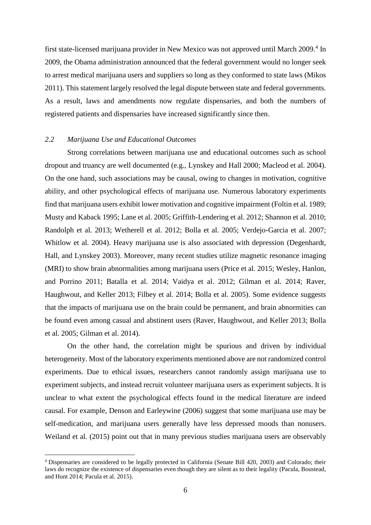first state-licensed marijuana provider in New Mexico was not approved until March 2009.<sup>4</sup> In 2009, the Obama administration announced that the federal government would no longer seek to arrest medical marijuana users and suppliers so long as they conformed to state laws (Mikos 2011). This statement largely resolved the legal dispute between state and federal governments. As a result, laws and amendments now regulate dispensaries, and both the numbers of registered patients and dispensaries have increased significantly since then.

#### *2.2 Marijuana Use and Educational Outcomes*

<u>.</u>

Strong correlations between marijuana use and educational outcomes such as school dropout and truancy are well documented (e.g., Lynskey and Hall 2000; Macleod et al. 2004). On the one hand, such associations may be causal, owing to changes in motivation, cognitive ability, and other psychological effects of marijuana use. Numerous laboratory experiments find that marijuana users exhibit lower motivation and cognitive impairment (Foltin et al. 1989; Musty and Kaback 1995; Lane et al. 2005; Griffith-Lendering et al. 2012; Shannon et al. 2010; Randolph et al. 2013; Wetherell et al. 2012; Bolla et al. 2005; Verdejo-Garcia et al. 2007; Whitlow et al. 2004). Heavy marijuana use is also associated with depression (Degenhardt, Hall, and Lynskey 2003). Moreover, many recent studies utilize magnetic resonance imaging (MRI) to show brain abnormalities among marijuana users (Price et al. 2015; Wesley, Hanlon, and Porrino 2011; Batalla et al. 2014; Vaidya et al. 2012; Gilman et al. 2014; Raver, Haughwout, and Keller 2013; Filbey et al. 2014; Bolla et al. 2005). Some evidence suggests that the impacts of marijuana use on the brain could be permanent, and brain abnormities can be found even among casual and abstinent users (Raver, Haughwout, and Keller 2013; Bolla et al. 2005; Gilman et al. 2014).

On the other hand, the correlation might be spurious and driven by individual heterogeneity. Most of the laboratory experiments mentioned above are not randomized control experiments. Due to ethical issues, researchers cannot randomly assign marijuana use to experiment subjects, and instead recruit volunteer marijuana users as experiment subjects. It is unclear to what extent the psychological effects found in the medical literature are indeed causal. For example, Denson and Earleywine (2006) suggest that some marijuana use may be self-medication, and marijuana users generally have less depressed moods than nonusers. Weiland et al. (2015) point out that in many previous studies marijuana users are observably

<sup>4</sup> Dispensaries are considered to be legally protected in California (Senate Bill 420, 2003) and Colorado; their laws do recognize the existence of dispensaries even though they are silent as to their legality (Pacula, Boustead, and Hunt 2014; Pacula et al. 2015).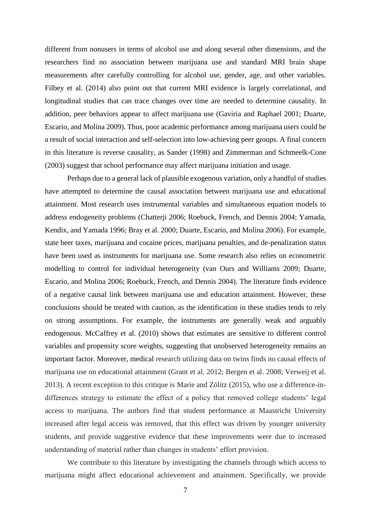different from nonusers in terms of alcohol use and along several other dimensions, and the researchers find no association between marijuana use and standard MRI brain shape measurements after carefully controlling for alcohol use, gender, age, and other variables. Filbey et al. (2014) also point out that current MRI evidence is largely correlational, and longitudinal studies that can trace changes over time are needed to determine causality. In addition, peer behaviors appear to affect marijuana use (Gaviria and Raphael 2001; Duarte, Escario, and Molina 2009). Thus, poor academic performance among marijuana users could be a result of social interaction and self-selection into low-achieving peer groups. A final concern in this literature is reverse causality, as Sander (1998) and Zimmerman and Schmeelk-Cone (2003) suggest that school performance may affect marijuana initiation and usage.

Perhaps due to a general lack of plausible exogenous variation, only a handful of studies have attempted to determine the causal association between marijuana use and educational attainment. Most research uses instrumental variables and simultaneous equation models to address endogeneity problems (Chatterji 2006; Roebuck, French, and Dennis 2004; Yamada, Kendix, and Yamada 1996; Bray et al. 2000; Duarte, Escario, and Molina 2006). For example, state beer taxes, marijuana and cocaine prices, marijuana penalties, and de-penalization status have been used as instruments for marijuana use. Some research also relies on econometric modelling to control for individual heterogeneity (van Ours and Williams 2009; Duarte, Escario, and Molina 2006; Roebuck, French, and Dennis 2004). The literature finds evidence of a negative causal link between marijuana use and education attainment. However, these conclusions should be treated with caution, as the identification in these studies tends to rely on strong assumptions. For example, the instruments are generally weak and arguably endogenous. McCaffrey et al. (2010) shows that estimates are sensitive to different control variables and propensity score weights, suggesting that unobserved heterogeneity remains an important factor. Moreover, medical research utilizing data on twins finds no causal effects of marijuana use on educational attainment (Grant et al. 2012; Bergen et al. 2008; Verweij et al. 2013). A recent exception to this critique is Marie and Zölitz (2015), who use a difference-indifferences strategy to estimate the effect of a policy that removed college students' legal access to marijuana. The authors find that student performance at Maastricht University increased after legal access was removed, that this effect was driven by younger university students, and provide suggestive evidence that these improvements were due to increased understanding of material rather than changes in students' effort provision.

We contribute to this literature by investigating the channels through which access to marijuana might affect educational achievement and attainment. Specifically, we provide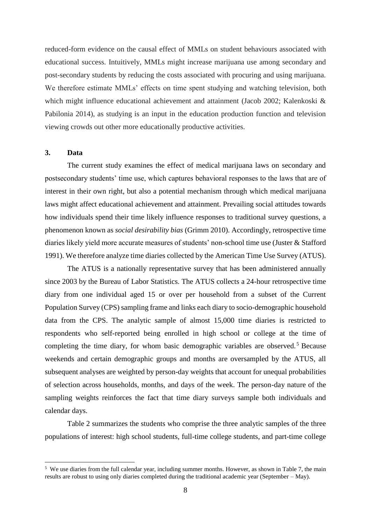reduced-form evidence on the causal effect of MMLs on student behaviours associated with educational success. Intuitively, MMLs might increase marijuana use among secondary and post-secondary students by reducing the costs associated with procuring and using marijuana. We therefore estimate MMLs' effects on time spent studying and watching television, both which might influence educational achievement and attainment (Jacob 2002; Kalenkoski & Pabilonia 2014), as studying is an input in the education production function and television viewing crowds out other more educationally productive activities.

#### **3. Data**

1

The current study examines the effect of medical marijuana laws on secondary and postsecondary students' time use, which captures behavioral responses to the laws that are of interest in their own right, but also a potential mechanism through which medical marijuana laws might affect educational achievement and attainment. Prevailing social attitudes towards how individuals spend their time likely influence responses to traditional survey questions, a phenomenon known as *social desirability bias* (Grimm 2010). Accordingly, retrospective time diaries likely yield more accurate measures of students' non-school time use (Juster & Stafford 1991). We therefore analyze time diaries collected by the American Time Use Survey (ATUS).

The ATUS is a nationally representative survey that has been administered annually since 2003 by the Bureau of Labor Statistics. The ATUS collects a 24-hour retrospective time diary from one individual aged 15 or over per household from a subset of the Current Population Survey (CPS) sampling frame and links each diary to socio-demographic household data from the CPS. The analytic sample of almost 15,000 time diaries is restricted to respondents who self-reported being enrolled in high school or college at the time of completing the time diary, for whom basic demographic variables are observed.<sup>5</sup> Because weekends and certain demographic groups and months are oversampled by the ATUS, all subsequent analyses are weighted by person-day weights that account for unequal probabilities of selection across households, months, and days of the week. The person-day nature of the sampling weights reinforces the fact that time diary surveys sample both individuals and calendar days.

Table 2 summarizes the students who comprise the three analytic samples of the three populations of interest: high school students, full-time college students, and part-time college

 $5\,$  We use diaries from the full calendar year, including summer months. However, as shown in Table 7, the main results are robust to using only diaries completed during the traditional academic year (September – May).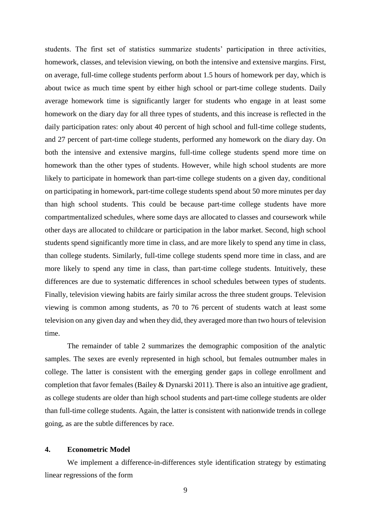students. The first set of statistics summarize students' participation in three activities, homework, classes, and television viewing, on both the intensive and extensive margins. First, on average, full-time college students perform about 1.5 hours of homework per day, which is about twice as much time spent by either high school or part-time college students. Daily average homework time is significantly larger for students who engage in at least some homework on the diary day for all three types of students, and this increase is reflected in the daily participation rates: only about 40 percent of high school and full-time college students, and 27 percent of part-time college students, performed any homework on the diary day. On both the intensive and extensive margins, full-time college students spend more time on homework than the other types of students. However, while high school students are more likely to participate in homework than part-time college students on a given day, conditional on participating in homework, part-time college students spend about 50 more minutes per day than high school students. This could be because part-time college students have more compartmentalized schedules, where some days are allocated to classes and coursework while other days are allocated to childcare or participation in the labor market. Second, high school students spend significantly more time in class, and are more likely to spend any time in class, than college students. Similarly, full-time college students spend more time in class, and are more likely to spend any time in class, than part-time college students. Intuitively, these differences are due to systematic differences in school schedules between types of students. Finally, television viewing habits are fairly similar across the three student groups. Television viewing is common among students, as 70 to 76 percent of students watch at least some television on any given day and when they did, they averaged more than two hours of television time.

The remainder of table 2 summarizes the demographic composition of the analytic samples. The sexes are evenly represented in high school, but females outnumber males in college. The latter is consistent with the emerging gender gaps in college enrollment and completion that favor females (Bailey & Dynarski 2011). There is also an intuitive age gradient, as college students are older than high school students and part-time college students are older than full-time college students. Again, the latter is consistent with nationwide trends in college going, as are the subtle differences by race.

#### **4. Econometric Model**

We implement a difference-in-differences style identification strategy by estimating linear regressions of the form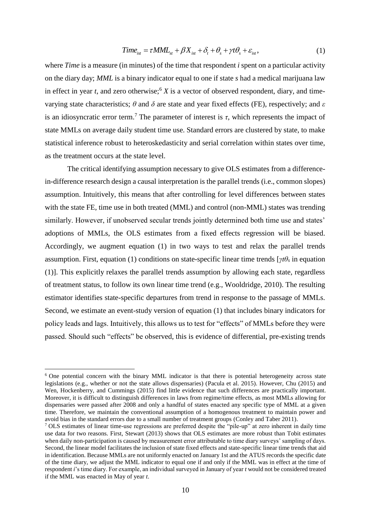$$
Time_{ist} = \tau MML_{st} + \beta X_{ist} + \delta_t + \theta_s + \gamma t \theta_s + \varepsilon_{ist},
$$
\n(1)

where *Time* is a measure (in minutes) of the time that respondent *i* spent on a particular activity on the diary day; *MML* is a binary indicator equal to one if state *s* had a medical marijuana law in effect in year *t*, and zero otherwise;<sup>6</sup> *X* is a vector of observed respondent, diary, and timevarying state characteristics; *θ* and *δ* are state and year fixed effects (FE), respectively; and *ε* is an idiosyncratic error term.<sup>7</sup> The parameter of interest is  $\tau$ , which represents the impact of state MMLs on average daily student time use. Standard errors are clustered by state, to make statistical inference robust to heteroskedasticity and serial correlation within states over time, as the treatment occurs at the state level.

The critical identifying assumption necessary to give OLS estimates from a differencein-difference research design a causal interpretation is the parallel trends (i.e., common slopes) assumption. Intuitively, this means that after controlling for level differences between states with the state FE, time use in both treated (MML) and control (non-MML) states was trending similarly. However, if unobserved secular trends jointly determined both time use and states' adoptions of MMLs, the OLS estimates from a fixed effects regression will be biased. Accordingly, we augment equation (1) in two ways to test and relax the parallel trends assumption. First, equation (1) conditions on state-specific linear time trends  $[\gamma t\theta_s]$  in equation (1)]. This explicitly relaxes the parallel trends assumption by allowing each state, regardless of treatment status, to follow its own linear time trend (e.g., Wooldridge, 2010). The resulting estimator identifies state-specific departures from trend in response to the passage of MMLs. Second, we estimate an event-study version of equation (1) that includes binary indicators for policy leads and lags. Intuitively, this allows us to test for "effects" of MMLs before they were passed. Should such "effects" be observed, this is evidence of differential, pre-existing trends

<u>.</u>

<sup>&</sup>lt;sup>6</sup> One potential concern with the binary MML indicator is that there is potential heterogeneity across state legislations (e.g., whether or not the state allows dispensaries) (Pacula et al. 2015). However, Chu (2015) and Wen, Hockenberry, and Cummings (2015) find little evidence that such differences are practically important. Moreover, it is difficult to distinguish differences in laws from regime/time effects, as most MMLs allowing for dispensaries were passed after 2008 and only a handful of states enacted any specific type of MML at a given time. Therefore, we maintain the conventional assumption of a homogenous treatment to maintain power and avoid bias in the standard errors due to a small number of treatment groups (Conley and Taber 2011).

<sup>&</sup>lt;sup>7</sup> OLS estimates of linear time-use regressions are preferred despite the "pile-up" at zero inherent in daily time use data for two reasons. First, Stewart (2013) shows that OLS estimates are more robust than Tobit estimates when daily non-participation is caused by measurement error attributable to time diary surveys' sampling of days. Second, the linear model facilitates the inclusion of state fixed effects and state-specific linear time trends that aid in identification. Because MMLs are not uniformly enacted on January 1st and the ATUS records the specific date of the time diary, we adjust the MML indicator to equal one if and only if the MML was in effect at the time of respondent *i*'s time diary. For example, an individual surveyed in January of year *t* would not be considered treated if the MML was enacted in May of year *t*.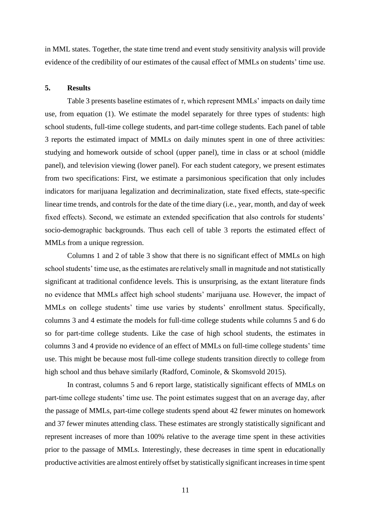in MML states. Together, the state time trend and event study sensitivity analysis will provide evidence of the credibility of our estimates of the causal effect of MMLs on students' time use.

#### **5. Results**

Table 3 presents baseline estimates of *τ*, which represent MMLs' impacts on daily time use, from equation (1). We estimate the model separately for three types of students: high school students, full-time college students, and part-time college students. Each panel of table 3 reports the estimated impact of MMLs on daily minutes spent in one of three activities: studying and homework outside of school (upper panel), time in class or at school (middle panel), and television viewing (lower panel). For each student category, we present estimates from two specifications: First, we estimate a parsimonious specification that only includes indicators for marijuana legalization and decriminalization, state fixed effects, state-specific linear time trends, and controls for the date of the time diary (i.e., year, month, and day of week fixed effects). Second, we estimate an extended specification that also controls for students' socio-demographic backgrounds. Thus each cell of table 3 reports the estimated effect of MMLs from a unique regression.

Columns 1 and 2 of table 3 show that there is no significant effect of MMLs on high school students' time use, as the estimates are relatively small in magnitude and not statistically significant at traditional confidence levels. This is unsurprising, as the extant literature finds no evidence that MMLs affect high school students' marijuana use. However, the impact of MMLs on college students' time use varies by students' enrollment status. Specifically, columns 3 and 4 estimate the models for full-time college students while columns 5 and 6 do so for part-time college students. Like the case of high school students, the estimates in columns 3 and 4 provide no evidence of an effect of MMLs on full-time college students' time use. This might be because most full-time college students transition directly to college from high school and thus behave similarly (Radford, Cominole, & Skomsvold 2015).

In contrast, columns 5 and 6 report large, statistically significant effects of MMLs on part-time college students' time use. The point estimates suggest that on an average day, after the passage of MMLs, part-time college students spend about 42 fewer minutes on homework and 37 fewer minutes attending class. These estimates are strongly statistically significant and represent increases of more than 100% relative to the average time spent in these activities prior to the passage of MMLs. Interestingly, these decreases in time spent in educationally productive activities are almost entirely offset by statistically significant increases in time spent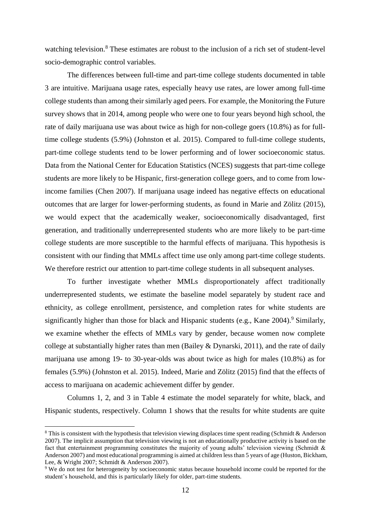watching television.<sup>8</sup> These estimates are robust to the inclusion of a rich set of student-level socio-demographic control variables.

The differences between full-time and part-time college students documented in table 3 are intuitive. Marijuana usage rates, especially heavy use rates, are lower among full-time college students than among their similarly aged peers. For example, the Monitoring the Future survey shows that in 2014, among people who were one to four years beyond high school, the rate of daily marijuana use was about twice as high for non-college goers (10.8%) as for fulltime college students (5.9%) (Johnston et al. 2015). Compared to full-time college students, part-time college students tend to be lower performing and of lower socioeconomic status. Data from the National Center for Education Statistics (NCES) suggests that part-time college students are more likely to be Hispanic, first-generation college goers, and to come from lowincome families (Chen 2007). If marijuana usage indeed has negative effects on educational outcomes that are larger for lower-performing students, as found in Marie and Zölitz (2015), we would expect that the academically weaker, socioeconomically disadvantaged, first generation, and traditionally underrepresented students who are more likely to be part-time college students are more susceptible to the harmful effects of marijuana. This hypothesis is consistent with our finding that MMLs affect time use only among part-time college students. We therefore restrict our attention to part-time college students in all subsequent analyses.

To further investigate whether MMLs disproportionately affect traditionally underrepresented students, we estimate the baseline model separately by student race and ethnicity, as college enrollment, persistence, and completion rates for white students are significantly higher than those for black and Hispanic students (e.g., Kane 2004).<sup>9</sup> Similarly, we examine whether the effects of MMLs vary by gender, because women now complete college at substantially higher rates than men (Bailey & Dynarski, 2011), and the rate of daily marijuana use among 19- to 30-year-olds was about twice as high for males (10.8%) as for females (5.9%) (Johnston et al. 2015). Indeed, Marie and Zölitz (2015) find that the effects of access to marijuana on academic achievement differ by gender.

Columns 1, 2, and 3 in Table 4 estimate the model separately for white, black, and Hispanic students, respectively. Column 1 shows that the results for white students are quite

<sup>&</sup>lt;sup>8</sup> This is consistent with the hypothesis that television viewing displaces time spent reading (Schmidt & Anderson 2007). The implicit assumption that television viewing is not an educationally productive activity is based on the fact that entertainment programming constitutes the majority of young adults' television viewing (Schmidt & Anderson 2007) and most educational programming is aimed at children less than 5 years of age (Huston, Bickham, Lee, & Wright 2007; Schmidt & Anderson 2007).

<sup>9</sup> We do not test for heterogeneity by socioeconomic status because household income could be reported for the student's household, and this is particularly likely for older, part-time students.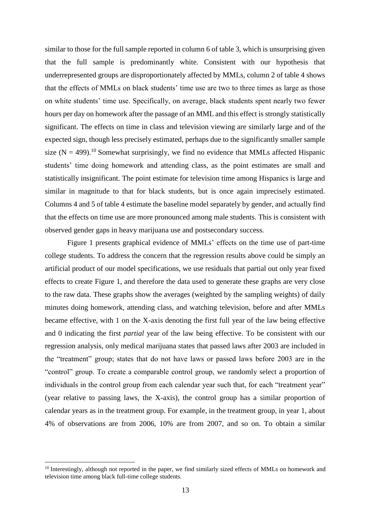similar to those for the full sample reported in column 6 of table 3, which is unsurprising given that the full sample is predominantly white. Consistent with our hypothesis that underrepresented groups are disproportionately affected by MMLs, column 2 of table 4 shows that the effects of MMLs on black students' time use are two to three times as large as those on white students' time use. Specifically, on average, black students spent nearly two fewer hours per day on homework after the passage of an MML and this effect is strongly statistically significant. The effects on time in class and television viewing are similarly large and of the expected sign, though less precisely estimated, perhaps due to the significantly smaller sample size  $(N = 499)$ .<sup>10</sup> Somewhat surprisingly, we find no evidence that MMLs affected Hispanic students' time doing homework and attending class, as the point estimates are small and statistically insignificant. The point estimate for television time among Hispanics is large and similar in magnitude to that for black students, but is once again imprecisely estimated. Columns 4 and 5 of table 4 estimate the baseline model separately by gender, and actually find that the effects on time use are more pronounced among male students. This is consistent with observed gender gaps in heavy marijuana use and postsecondary success.

Figure 1 presents graphical evidence of MMLs' effects on the time use of part-time college students. To address the concern that the regression results above could be simply an artificial product of our model specifications, we use residuals that partial out only year fixed effects to create Figure 1, and therefore the data used to generate these graphs are very close to the raw data. These graphs show the averages (weighted by the sampling weights) of daily minutes doing homework, attending class, and watching television, before and after MMLs became effective, with 1 on the X-axis denoting the first full year of the law being effective and 0 indicating the first *partial* year of the law being effective. To be consistent with our regression analysis, only medical marijuana states that passed laws after 2003 are included in the "treatment" group; states that do not have laws or passed laws before 2003 are in the "control" group. To create a comparable control group, we randomly select a proportion of individuals in the control group from each calendar year such that, for each "treatment year" (year relative to passing laws, the X-axis), the control group has a similar proportion of calendar years as in the treatment group. For example, in the treatment group, in year 1, about 4% of observations are from 2006, 10% are from 2007, and so on. To obtain a similar

<sup>&</sup>lt;sup>10</sup> Interestingly, although not reported in the paper, we find similarly sized effects of MMLs on homework and television time among black full-time college students.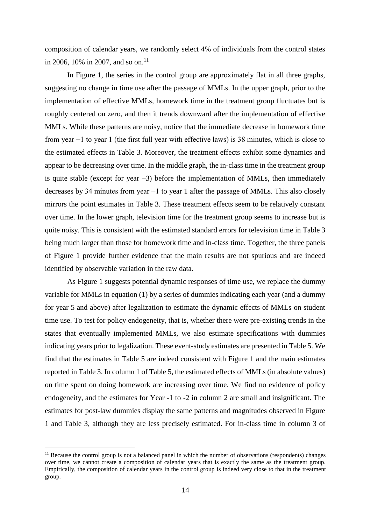composition of calendar years, we randomly select 4% of individuals from the control states in 2006, 10% in 2007, and so on.<sup>11</sup>

In Figure 1, the series in the control group are approximately flat in all three graphs, suggesting no change in time use after the passage of MMLs. In the upper graph, prior to the implementation of effective MMLs, homework time in the treatment group fluctuates but is roughly centered on zero, and then it trends downward after the implementation of effective MMLs. While these patterns are noisy, notice that the immediate decrease in homework time from year −1 to year 1 (the first full year with effective laws) is 38 minutes, which is close to the estimated effects in Table 3. Moreover, the treatment effects exhibit some dynamics and appear to be decreasing over time. In the middle graph, the in-class time in the treatment group is quite stable (except for year  $-3$ ) before the implementation of MMLs, then immediately decreases by 34 minutes from year −1 to year 1 after the passage of MMLs. This also closely mirrors the point estimates in Table 3. These treatment effects seem to be relatively constant over time. In the lower graph, television time for the treatment group seems to increase but is quite noisy. This is consistent with the estimated standard errors for television time in Table 3 being much larger than those for homework time and in-class time. Together, the three panels of Figure 1 provide further evidence that the main results are not spurious and are indeed identified by observable variation in the raw data.

As Figure 1 suggests potential dynamic responses of time use, we replace the dummy variable for MMLs in equation (1) by a series of dummies indicating each year (and a dummy for year 5 and above) after legalization to estimate the dynamic effects of MMLs on student time use. To test for policy endogeneity, that is, whether there were pre-existing trends in the states that eventually implemented MMLs, we also estimate specifications with dummies indicating years prior to legalization. These event-study estimates are presented in Table 5. We find that the estimates in Table 5 are indeed consistent with Figure 1 and the main estimates reported in Table 3. In column 1 of Table 5, the estimated effects of MMLs (in absolute values) on time spent on doing homework are increasing over time. We find no evidence of policy endogeneity, and the estimates for Year -1 to -2 in column 2 are small and insignificant. The estimates for post-law dummies display the same patterns and magnitudes observed in Figure 1 and Table 3, although they are less precisely estimated. For in-class time in column 3 of

<sup>&</sup>lt;sup>11</sup> Because the control group is not a balanced panel in which the number of observations (respondents) changes over time, we cannot create a composition of calendar years that is exactly the same as the treatment group. Empirically, the composition of calendar years in the control group is indeed very close to that in the treatment group.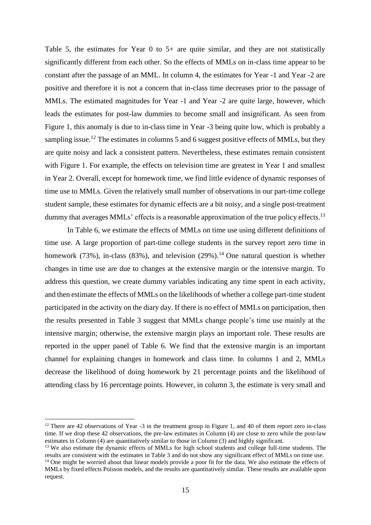Table 5, the estimates for Year 0 to 5+ are quite similar, and they are not statistically significantly different from each other. So the effects of MMLs on in-class time appear to be constant after the passage of an MML. In column 4, the estimates for Year -1 and Year -2 are positive and therefore it is not a concern that in-class time decreases prior to the passage of MMLs. The estimated magnitudes for Year -1 and Year -2 are quite large, however, which leads the estimates for post-law dummies to become small and insignificant. As seen from Figure 1, this anomaly is due to in-class time in Year -3 being quite low, which is probably a sampling issue.<sup>12</sup> The estimates in columns 5 and 6 suggest positive effects of MMLs, but they are quite noisy and lack a consistent pattern. Nevertheless, these estimates remain consistent with Figure 1. For example, the effects on television time are greatest in Year 1 and smallest in Year 2. Overall, except for homework time, we find little evidence of dynamic responses of time use to MMLs. Given the relatively small number of observations in our part-time college student sample, these estimates for dynamic effects are a bit noisy, and a single post-treatment dummy that averages MMLs' effects is a reasonable approximation of the true policy effects.<sup>13</sup>

In Table 6, we estimate the effects of MMLs on time use using different definitions of time use. A large proportion of part-time college students in the survey report zero time in homework (73%), in-class (83%), and television (29%).<sup>14</sup> One natural question is whether changes in time use are due to changes at the extensive margin or the intensive margin. To address this question, we create dummy variables indicating any time spent in each activity, and then estimate the effects of MMLs on the likelihoods of whether a college part-time student participated in the activity on the diary day. If there is no effect of MMLs on participation, then the results presented in Table 3 suggest that MMLs change people's time use mainly at the intensive margin; otherwise, the extensive margin plays an important role. These results are reported in the upper panel of Table 6. We find that the extensive margin is an important channel for explaining changes in homework and class time. In columns 1 and 2, MMLs decrease the likelihood of doing homework by 21 percentage points and the likelihood of attending class by 16 percentage points. However, in column 3, the estimate is very small and

 $12$  There are 42 observations of Year -3 in the treatment group in Figure 1, and 40 of them report zero in-class time. If we drop these 42 observations, the pre-law estimates in Column (4) are close to zero while the post-law estimates in Column (4) are quantitatively similar to those in Column (3) and highly significant.

<sup>&</sup>lt;sup>13</sup> We also estimate the dynamic effects of MMLs for high school students and college full-time students. The results are consistent with the estimates in Table 3 and do not show any significant effect of MMLs on time use.

<sup>&</sup>lt;sup>14</sup> One might be worried about that linear models provide a poor fit for the data. We also estimate the effects of MMLs by fixed effects Poisson models, and the results are quantitatively similar. These results are available upon request.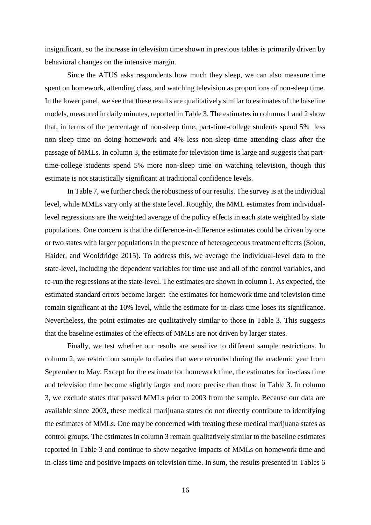insignificant, so the increase in television time shown in previous tables is primarily driven by behavioral changes on the intensive margin.

Since the ATUS asks respondents how much they sleep, we can also measure time spent on homework, attending class, and watching television as proportions of non-sleep time. In the lower panel, we see that these results are qualitatively similar to estimates of the baseline models, measured in daily minutes, reported in Table 3. The estimates in columns 1 and 2 show that, in terms of the percentage of non-sleep time, part-time-college students spend 5% less non-sleep time on doing homework and 4% less non-sleep time attending class after the passage of MMLs. In column 3, the estimate for television time is large and suggests that parttime-college students spend 5% more non-sleep time on watching television, though this estimate is not statistically significant at traditional confidence levels.

In Table 7, we further check the robustness of our results. The survey is at the individual level, while MMLs vary only at the state level. Roughly, the MML estimates from individuallevel regressions are the weighted average of the policy effects in each state weighted by state populations. One concern is that the difference-in-difference estimates could be driven by one or two states with larger populations in the presence of heterogeneous treatment effects (Solon, Haider, and Wooldridge 2015). To address this, we average the individual-level data to the state-level, including the dependent variables for time use and all of the control variables, and re-run the regressions at the state-level. The estimates are shown in column 1. As expected, the estimated standard errors become larger: the estimates for homework time and television time remain significant at the 10% level, while the estimate for in-class time loses its significance. Nevertheless, the point estimates are qualitatively similar to those in Table 3. This suggests that the baseline estimates of the effects of MMLs are not driven by larger states.

Finally, we test whether our results are sensitive to different sample restrictions. In column 2, we restrict our sample to diaries that were recorded during the academic year from September to May. Except for the estimate for homework time, the estimates for in-class time and television time become slightly larger and more precise than those in Table 3. In column 3, we exclude states that passed MMLs prior to 2003 from the sample. Because our data are available since 2003, these medical marijuana states do not directly contribute to identifying the estimates of MMLs. One may be concerned with treating these medical marijuana states as control groups. The estimates in column 3 remain qualitatively similar to the baseline estimates reported in Table 3 and continue to show negative impacts of MMLs on homework time and in-class time and positive impacts on television time. In sum, the results presented in Tables 6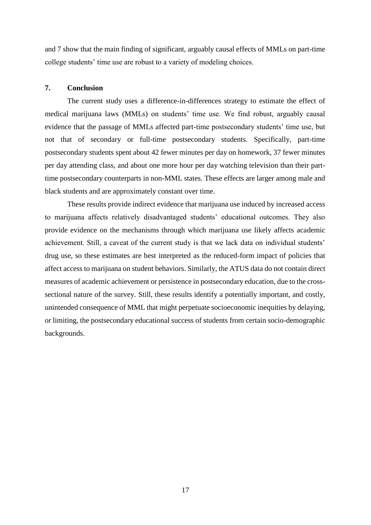and 7 show that the main finding of significant, arguably causal effects of MMLs on part-time college students' time use are robust to a variety of modeling choices.

#### **7. Conclusion**

The current study uses a difference-in-differences strategy to estimate the effect of medical marijuana laws (MMLs) on students' time use. We find robust, arguably causal evidence that the passage of MMLs affected part-time postsecondary students' time use, but not that of secondary or full-time postsecondary students. Specifically, part-time postsecondary students spent about 42 fewer minutes per day on homework, 37 fewer minutes per day attending class, and about one more hour per day watching television than their parttime postsecondary counterparts in non-MML states. These effects are larger among male and black students and are approximately constant over time.

These results provide indirect evidence that marijuana use induced by increased access to marijuana affects relatively disadvantaged students' educational outcomes. They also provide evidence on the mechanisms through which marijuana use likely affects academic achievement. Still, a caveat of the current study is that we lack data on individual students' drug use, so these estimates are best interpreted as the reduced-form impact of policies that affect access to marijuana on student behaviors. Similarly, the ATUS data do not contain direct measures of academic achievement or persistence in postsecondary education, due to the crosssectional nature of the survey. Still, these results identify a potentially important, and costly, unintended consequence of MML that might perpetuate socioeconomic inequities by delaying, or limiting, the postsecondary educational success of students from certain socio-demographic backgrounds.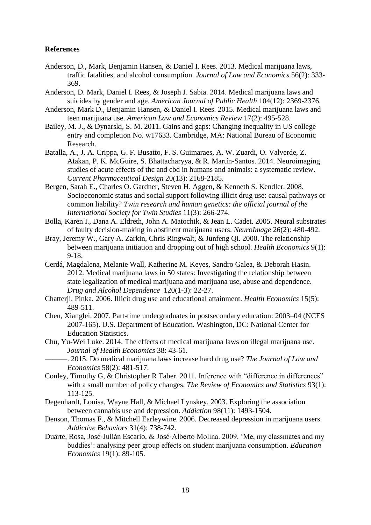#### **References**

- Anderson, D., Mark, Benjamin Hansen, & Daniel I. Rees. 2013. Medical marijuana laws, traffic fatalities, and alcohol consumption. *Journal of Law and Economics* 56(2): 333- 369.
- Anderson, D. Mark, Daniel I. Rees, & Joseph J. Sabia. 2014. Medical marijuana laws and suicides by gender and age. *American Journal of Public Health* 104(12): 2369-2376.
- Anderson, Mark D., Benjamin Hansen, & Daniel I. Rees. 2015. Medical marijuana laws and teen marijuana use. *American Law and Economics Review* 17(2): 495-528.
- Bailey, M. J., & Dynarski, S. M. 2011. Gains and gaps: Changing inequality in US college entry and completion No. w17633. Cambridge, MA: National Bureau of Economic Research.
- Batalla, A., J. A. Crippa, G. F. Busatto, F. S. Guimaraes, A. W. Zuardi, O. Valverde, Z. Atakan, P. K. McGuire, S. Bhattacharyya, & R. Martín-Santos. 2014. Neuroimaging studies of acute effects of thc and cbd in humans and animals: a systematic review. *Current Pharmaceutical Design* 20(13): 2168-2185.
- Bergen, Sarah E., Charles O. Gardner, Steven H. Aggen, & Kenneth S. Kendler. 2008. Socioeconomic status and social support following illicit drug use: causal pathways or common liability? *Twin research and human genetics: the official journal of the International Society for Twin Studies* 11(3): 266-274.
- Bolla, Karen I., Dana A. Eldreth, John A. Matochik, & Jean L. Cadet. 2005. Neural substrates of faulty decision-making in abstinent marijuana users. *NeuroImage* 26(2): 480-492.
- Bray, Jeremy W., Gary A. Zarkin, Chris Ringwalt, & Junfeng Qi. 2000. The relationship between marijuana initiation and dropping out of high school. *Health Economics* 9(1): 9-18.
- Cerdá, Magdalena, Melanie Wall, Katherine M. Keyes, Sandro Galea, & Deborah Hasin. 2012. Medical marijuana laws in 50 states: Investigating the relationship between state legalization of medical marijuana and marijuana use, abuse and dependence. *Drug and Alcohol Dependence* 120(1-3): 22-27.
- Chatterji, Pinka. 2006. Illicit drug use and educational attainment. *Health Economics* 15(5): 489-511.
- Chen, Xianglei. 2007. Part-time undergraduates in postsecondary education: 2003–04 (NCES 2007-165). U.S. Department of Education. Washington, DC: National Center for Education Statistics.
- Chu, Yu-Wei Luke. 2014. The effects of medical marijuana laws on illegal marijuana use. *Journal of Health Economics* 38: 43-61.
	- ———. 2015. Do medical marijuana laws increase hard drug use? *The Journal of Law and Economics* 58(2): 481-517.
- Conley, Timothy G, & Christopher R Taber. 2011. Inference with "difference in differences" with a small number of policy changes. *The Review of Economics and Statistics* 93(1): 113-125.
- Degenhardt, Louisa, Wayne Hall, & Michael Lynskey. 2003. Exploring the association between cannabis use and depression. *Addiction* 98(11): 1493-1504.
- Denson, Thomas F., & Mitchell Earleywine. 2006. Decreased depression in marijuana users. *Addictive Behaviors* 31(4): 738-742.
- Duarte, Rosa, José‐Julián Escario, & José‐Alberto Molina. 2009. 'Me, my classmates and my buddies': analysing peer group effects on student marijuana consumption. *Education Economics* 19(1): 89-105.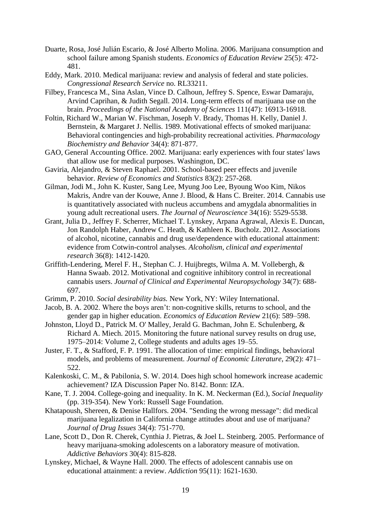- Duarte, Rosa, José Julián Escario, & José Alberto Molina. 2006. Marijuana consumption and school failure among Spanish students. *Economics of Education Review* 25(5): 472- 481.
- Eddy, Mark. 2010. Medical marijuana: review and analysis of federal and state policies. *Congressional Research Service* no. RL33211.
- Filbey, Francesca M., Sina Aslan, Vince D. Calhoun, Jeffrey S. Spence, Eswar Damaraju, Arvind Caprihan, & Judith Segall. 2014. Long-term effects of marijuana use on the brain. *Proceedings of the National Academy of Sciences* 111(47): 16913-16918.
- Foltin, Richard W., Marian W. Fischman, Joseph V. Brady, Thomas H. Kelly, Daniel J. Bernstein, & Margaret J. Nellis. 1989. Motivational effects of smoked marijuana: Behavioral contingencies and high-probability recreational activities. *Pharmacology Biochemistry and Behavior* 34(4): 871-877.
- GAO, General Accounting Office. 2002. Marijuana: early experiences with four states' laws that allow use for medical purposes. Washington, DC.
- Gaviria, Alejandro, & Steven Raphael. 2001. School-based peer effects and juvenile behavior. *Review of Economics and Statistics* 83(2): 257-268.
- Gilman, Jodi M., John K. Kuster, Sang Lee, Myung Joo Lee, Byoung Woo Kim, Nikos Makris, Andre van der Kouwe, Anne J. Blood, & Hans C. Breiter. 2014. Cannabis use is quantitatively associated with nucleus accumbens and amygdala abnormalities in young adult recreational users. *The Journal of Neuroscience* 34(16): 5529-5538.
- Grant, Julia D., Jeffrey F. Scherrer, Michael T. Lynskey, Arpana Agrawal, Alexis E. Duncan, Jon Randolph Haber, Andrew C. Heath, & Kathleen K. Bucholz. 2012. Associations of alcohol, nicotine, cannabis and drug use/dependence with educational attainment: evidence from Cotwin-control analyses. *Alcoholism, clinical and experimental research* 36(8): 1412-1420.
- Griffith-Lendering, Merel F. H., Stephan C. J. Huijbregts, Wilma A. M. Vollebergh, & Hanna Swaab. 2012. Motivational and cognitive inhibitory control in recreational cannabis users. *Journal of Clinical and Experimental Neuropsychology* 34(7): 688- 697.
- Grimm, P. 2010. *Social desirability bias.* New York, NY: Wiley International.
- Jacob, B. A. 2002. Where the boys aren't: non-cognitive skills, returns to school, and the gender gap in higher education. *Economics of Education Review* 21(6): 589–598.
- Johnston, Lloyd D., Patrick M. O' Malley, Jerald G. Bachman, John E. Schulenberg, & Richard A. Miech. 2015. Monitoring the future national survey results on drug use, 1975–2014: Volume 2, College students and adults ages 19–55.
- Juster, F. T., & Stafford, F. P. 1991. The allocation of time: empirical findings, behavioral models, and problems of measurement. *Journal of Economic Literature*, 29(2): 471– 522.
- Kalenkoski, C. M., & Pabilonia, S. W. 2014. Does high school homework increase academic achievement? IZA Discussion Paper No. 8142. Bonn: IZA.
- Kane, T. J. 2004. College-going and inequality. In K. M. Neckerman (Ed.), *Social Inequality* (pp. 319-354). New York: Russell Sage Foundation.
- Khatapoush, Shereen, & Denise Hallfors. 2004. "Sending the wrong message": did medical marijuana legalization in California change attitudes about and use of marijuana? *Journal of Drug Issues* 34(4): 751-770.
- Lane, Scott D., Don R. Cherek, Cynthia J. Pietras, & Joel L. Steinberg. 2005. Performance of heavy marijuana-smoking adolescents on a laboratory measure of motivation. *Addictive Behaviors* 30(4): 815-828.
- Lynskey, Michael, & Wayne Hall. 2000. The effects of adolescent cannabis use on educational attainment: a review. *Addiction* 95(11): 1621-1630.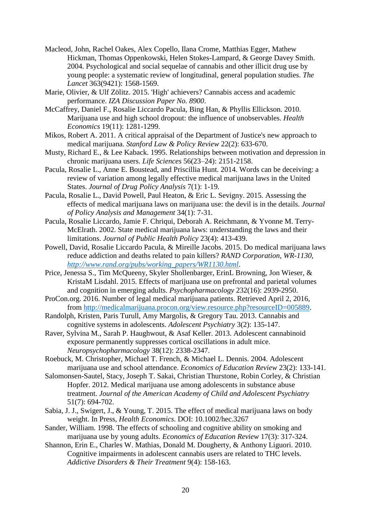- Macleod, John, Rachel Oakes, Alex Copello, Ilana Crome, Matthias Egger, Mathew Hickman, Thomas Oppenkowski, Helen Stokes-Lampard, & George Davey Smith. 2004. Psychological and social sequelae of cannabis and other illicit drug use by young people: a systematic review of longitudinal, general population studies. *The Lancet* 363(9421): 1568-1569.
- Marie, Olivier, & Ulf Zölitz. 2015. 'High' achievers? Cannabis access and academic performance. *IZA Discussion Paper No. 8900*.
- McCaffrey, Daniel F., Rosalie Liccardo Pacula, Bing Han, & Phyllis Ellickson. 2010. Marijuana use and high school dropout: the influence of unobservables. *Health Economics* 19(11): 1281-1299.
- Mikos, Robert A. 2011. A critical appraisal of the Department of Justice's new approach to medical marijuana. *Stanford Law & Policy Review* 22(2): 633-670.
- Musty, Richard E., & Lee Kaback. 1995. Relationships between motivation and depression in chronic marijuana users. *Life Sciences* 56(23–24): 2151-2158.
- Pacula, Rosalie L., Anne E. Boustead, and Priscillia Hunt. 2014. Words can be deceiving: a review of variation among legally effective medical marijuana laws in the United States. *Journal of Drug Policy Analysis* 7(1): 1-19.
- Pacula, Rosalie L., David Powell, Paul Heaton, & Eric L. Sevigny. 2015. Assessing the effects of medical marijuana laws on marijuana use: the devil is in the details. *Journal of Policy Analysis and Management* 34(1): 7-31.
- Pacula, Rosalie Liccardo, Jamie F. Chriqui, Deborah A. Reichmann, & Yvonne M. Terry-McElrath. 2002. State medical marijuana laws: understanding the laws and their limitations. *Journal of Public Health Policy* 23(4): 413-439.
- Powell, David, Rosalie Liccardo Pacula, & Mireille Jacobs. 2015. Do medical marijuana laws reduce addiction and deaths related to pain killers? *RAND Corporation, WR-1130, [http://www.rand.org/pubs/working\\_papers/WR1130.html](http://www.rand.org/pubs/working_papers/WR1130.html)*.
- Price, Jenessa S., Tim McQueeny, Skyler Shollenbarger, ErinL Browning, Jon Wieser, & KristaM Lisdahl. 2015. Effects of marijuana use on prefrontal and parietal volumes and cognition in emerging adults. *Psychopharmacology* 232(16): 2939-2950.
- ProCon.org. 2016. Number of legal medical marijuana patients. Retrieved April 2, 2016, from [http://medicalmarijuana.procon.org/view.resource.php?resourceID=005889.](http://medicalmarijuana.procon.org/view.resource.php?resourceID=005889)
- Randolph, Kristen, Paris Turull, Amy Margolis, & Gregory Tau. 2013. Cannabis and cognitive systems in adolescents. *Adolescent Psychiatry* 3(2): 135-147.
- Raver, Sylvina M., Sarah P. Haughwout, & Asaf Keller. 2013. Adolescent cannabinoid exposure permanently suppresses cortical oscillations in adult mice. *Neuropsychopharmacology* 38(12): 2338-2347.
- Roebuck, M. Christopher, Michael T. French, & Michael L. Dennis. 2004. Adolescent marijuana use and school attendance. *Economics of Education Review* 23(2): 133-141.
- Salomonsen-Sautel, Stacy, Joseph T. Sakai, Christian Thurstone, Robin Corley, & Christian Hopfer. 2012. Medical marijuana use among adolescents in substance abuse treatment. *Journal of the American Academy of Child and Adolescent Psychiatry* 51(7): 694-702.
- Sabia, J. J., Swigert, J., & Young, T. 2015. The effect of medical marijuana laws on body weight. In Press, *Health Economics*. DOI: 10.1002/hec.3267
- Sander, William. 1998. The effects of schooling and cognitive ability on smoking and marijuana use by young adults. *Economics of Education Review* 17(3): 317-324.
- Shannon, Erin E., Charles W. Mathias, Donald M. Dougherty, & Anthony Liguori. 2010. Cognitive impairments in adolescent cannabis users are related to THC levels. *Addictive Disorders & Their Treatment* 9(4): 158-163.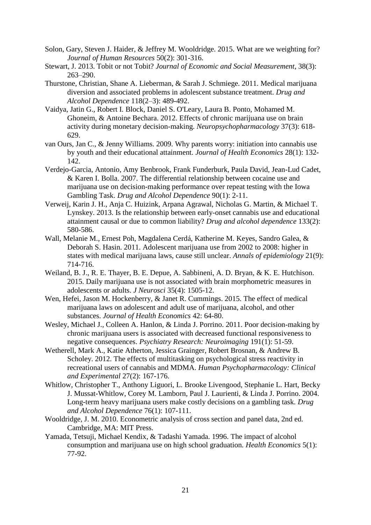- Solon, Gary, Steven J. Haider, & Jeffrey M. Wooldridge. 2015. What are we weighting for? *Journal of Human Resources* 50(2): 301-316.
- Stewart, J. 2013. Tobit or not Tobit? *Journal of Economic and Social Measurement*, 38(3): 263–290.
- Thurstone, Christian, Shane A. Lieberman, & Sarah J. Schmiege. 2011. Medical marijuana diversion and associated problems in adolescent substance treatment. *Drug and Alcohol Dependence* 118(2–3): 489-492.
- Vaidya, Jatin G., Robert I. Block, Daniel S. O'Leary, Laura B. Ponto, Mohamed M. Ghoneim, & Antoine Bechara. 2012. Effects of chronic marijuana use on brain activity during monetary decision-making. *Neuropsychopharmacology* 37(3): 618- 629.
- van Ours, Jan C., & Jenny Williams. 2009. Why parents worry: initiation into cannabis use by youth and their educational attainment. *Journal of Health Economics* 28(1): 132- 142.
- Verdejo-Garcia, Antonio, Amy Benbrook, Frank Funderburk, Paula David, Jean-Lud Cadet, & Karen I. Bolla. 2007. The differential relationship between cocaine use and marijuana use on decision-making performance over repeat testing with the Iowa Gambling Task. *Drug and Alcohol Dependence* 90(1): 2-11.
- Verweij, Karin J. H., Anja C. Huizink, Arpana Agrawal, Nicholas G. Martin, & Michael T. Lynskey. 2013. Is the relationship between early-onset cannabis use and educational attainment causal or due to common liability? *Drug and alcohol dependence* 133(2): 580-586.
- Wall, Melanie M., Ernest Poh, Magdalena Cerdá, Katherine M. Keyes, Sandro Galea, & Deborah S. Hasin. 2011. Adolescent marijuana use from 2002 to 2008: higher in states with medical marijuana laws, cause still unclear. *Annals of epidemiology* 21(9): 714-716.
- Weiland, B. J., R. E. Thayer, B. E. Depue, A. Sabbineni, A. D. Bryan, & K. E. Hutchison. 2015. Daily marijuana use is not associated with brain morphometric measures in adolescents or adults. *J Neurosci* 35(4): 1505-12.
- Wen, Hefei, Jason M. Hockenberry, & Janet R. Cummings. 2015. The effect of medical marijuana laws on adolescent and adult use of marijuana, alcohol, and other substances. *Journal of Health Economics* 42: 64-80.
- Wesley, Michael J., Colleen A. Hanlon, & Linda J. Porrino. 2011. Poor decision-making by chronic marijuana users is associated with decreased functional responsiveness to negative consequences. *Psychiatry Research: Neuroimaging* 191(1): 51-59.
- Wetherell, Mark A., Katie Atherton, Jessica Grainger, Robert Brosnan, & Andrew B. Scholey. 2012. The effects of multitasking on psychological stress reactivity in recreational users of cannabis and MDMA. *Human Psychopharmacology: Clinical and Experimental* 27(2): 167-176.
- Whitlow, Christopher T., Anthony Liguori, L. Brooke Livengood, Stephanie L. Hart, Becky J. Mussat-Whitlow, Corey M. Lamborn, Paul J. Laurienti, & Linda J. Porrino. 2004. Long-term heavy marijuana users make costly decisions on a gambling task. *Drug and Alcohol Dependence* 76(1): 107-111.
- Wooldridge, J. M. 2010. Econometric analysis of cross section and panel data, 2nd ed. Cambridge, MA: MIT Press.
- Yamada, Tetsuji, Michael Kendix, & Tadashi Yamada. 1996. The impact of alcohol consumption and marijuana use on high school graduation. *Health Economics* 5(1): 77-92.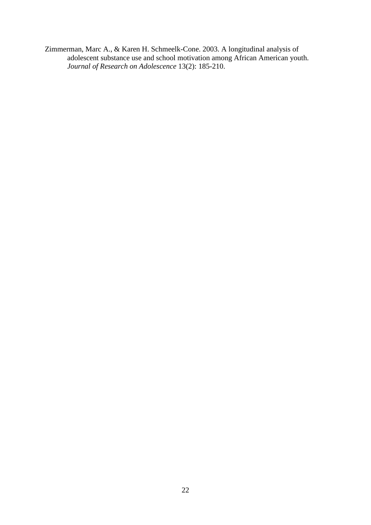Zimmerman, Marc A., & Karen H. Schmeelk-Cone. 2003. A longitudinal analysis of adolescent substance use and school motivation among African American youth. *Journal of Research on Adolescence* 13(2): 185-210.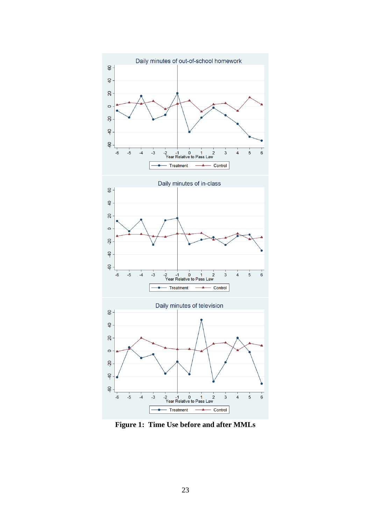

**Figure 1: Time Use before and after MMLs**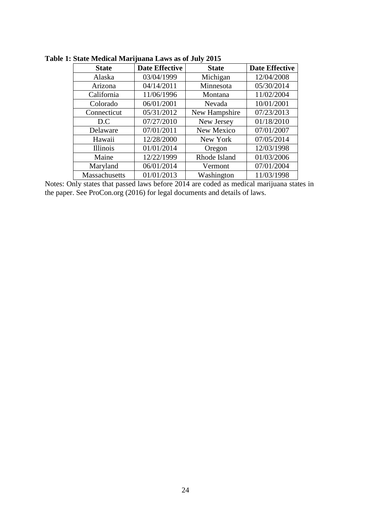| <b>State</b>  | <b>Date Effective</b> | <b>State</b>  | <b>Date Effective</b> |
|---------------|-----------------------|---------------|-----------------------|
| Alaska        | 03/04/1999            | Michigan      | 12/04/2008            |
| Arizona       | 04/14/2011            | Minnesota     | 05/30/2014            |
| California    | 11/06/1996            | Montana       | 11/02/2004            |
| Colorado      | 06/01/2001            | Nevada        | 10/01/2001            |
| Connecticut   | 05/31/2012            | New Hampshire | 07/23/2013            |
| D.C           | 07/27/2010            | New Jersey    | 01/18/2010            |
| Delaware      | 07/01/2011            | New Mexico    | 07/01/2007            |
| Hawaii        | 12/28/2000            | New York      | 07/05/2014            |
| Illinois      | 01/01/2014            | Oregon        | 12/03/1998            |
| Maine         | 12/22/1999            | Rhode Island  | 01/03/2006            |
| Maryland      | 06/01/2014            | Vermont       | 07/01/2004            |
| Massachusetts | 01/01/2013            | Washington    | 11/03/1998            |

**Table 1: State Medical Marijuana Laws as of July 2015**

Notes: Only states that passed laws before 2014 are coded as medical marijuana states in the paper. See ProCon.org (2016) for legal documents and details of laws.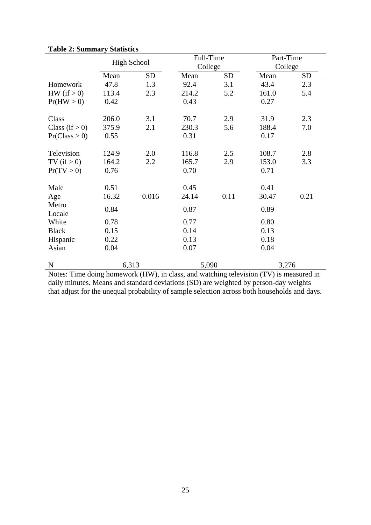|                   | <b>High School</b> |           | Full-Time |           | Part-Time |           |
|-------------------|--------------------|-----------|-----------|-----------|-----------|-----------|
|                   |                    |           | College   |           |           | College   |
|                   | Mean               | <b>SD</b> | Mean      | <b>SD</b> | Mean      | <b>SD</b> |
| Homework          | 47.8               | 1.3       | 92.4      | 3.1       | 43.4      | 2.3       |
| HW (if $> 0$ )    | 113.4              | 2.3       | 214.2     | 5.2       | 161.0     | 5.4       |
| Pr(HW > 0)        | 0.42               |           | 0.43      |           | 0.27      |           |
| Class             | 206.0              | 3.1       | 70.7      | 2.9       | 31.9      | 2.3       |
| Class (if $> 0$ ) | 375.9              | 2.1       | 230.3     | 5.6       | 188.4     | 7.0       |
| Pr(Class > 0)     | 0.55               |           | 0.31      |           | 0.17      |           |
| Television        | 124.9              | 2.0       | 116.8     | 2.5       | 108.7     | 2.8       |
| TV (if $> 0$ )    | 164.2              | 2.2       | 165.7     | 2.9       | 153.0     | 3.3       |
| Pr(TV > 0)        | 0.76               |           | 0.70      |           | 0.71      |           |
| Male              | 0.51               |           | 0.45      |           | 0.41      |           |
| Age               | 16.32              | 0.016     | 24.14     | 0.11      | 30.47     | 0.21      |
| Metro<br>Locale   | 0.84               |           | 0.87      |           | 0.89      |           |
| White             | 0.78               |           | 0.77      |           | 0.80      |           |
| <b>Black</b>      | 0.15               |           | 0.14      |           | 0.13      |           |
| Hispanic          | 0.22               |           | 0.13      |           | 0.18      |           |
| Asian             | 0.04               |           | 0.07      |           | 0.04      |           |
| ${\bf N}$         | 6,313              |           | 5,090     |           | 3,276     |           |

**Table 2: Summary Statistics**

Notes: Time doing homework (HW), in class, and watching television (TV) is measured in daily minutes. Means and standard deviations (SD) are weighted by person-day weights that adjust for the unequal probability of sample selection across both households and days.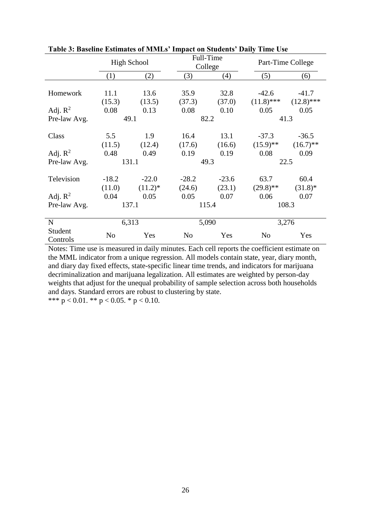|              | <b>High School</b> |            |         | Full-Time |                | Part-Time College |  |
|--------------|--------------------|------------|---------|-----------|----------------|-------------------|--|
|              |                    |            |         | College   |                |                   |  |
|              | (1)                | (2)        | (3)     | (4)       | (5)            | (6)               |  |
|              |                    |            |         |           |                |                   |  |
| Homework     | 11.1               | 13.6       | 35.9    | 32.8      | $-42.6$        | $-41.7$           |  |
|              | (15.3)             | (13.5)     | (37.3)  | (37.0)    | $(11.8)$ ***   | $(12.8)$ ***      |  |
| Adj. $R^2$   | 0.08               | 0.13       | 0.08    | 0.10      | 0.05           | 0.05              |  |
| Pre-law Avg. |                    | 49.1       |         | 82.2      |                | 41.3              |  |
|              |                    |            |         |           |                |                   |  |
| Class        | 5.5                | 1.9        | 16.4    | 13.1      | $-37.3$        | $-36.5$           |  |
|              | (11.5)             | (12.4)     | (17.6)  | (16.6)    | $(15.9)$ **    | $(16.7)$ **       |  |
| Adj. $R^2$   | 0.48               | 0.49       | 0.19    | 0.19      | 0.08           | 0.09              |  |
| Pre-law Avg. |                    | 131.1      |         | 49.3      |                | 22.5              |  |
|              |                    |            |         |           |                |                   |  |
| Television   | $-18.2$            | $-22.0$    | $-28.2$ | $-23.6$   | 63.7           | 60.4              |  |
|              | (11.0)             | $(11.2)^*$ | (24.6)  | (23.1)    | $(29.8)$ **    | $(31.8)*$         |  |
| Adj. $R^2$   | 0.04               | 0.05       | 0.05    | 0.07      | 0.06           | 0.07              |  |
| Pre-law Avg. | 137.1              |            |         | 115.4     |                | 108.3             |  |
|              |                    |            |         |           |                |                   |  |
| $\mathbf N$  | 6,313              |            |         | 5,090     |                | 3,276             |  |
| Student      |                    |            |         |           |                |                   |  |
| Controls     | N <sub>o</sub>     | Yes        | No      | Yes       | N <sub>0</sub> | Yes               |  |

**Table 3: Baseline Estimates of MMLs' Impact on Students' Daily Time Use**

Notes: Time use is measured in daily minutes. Each cell reports the coefficient estimate on the MML indicator from a unique regression. All models contain state, year, diary month, and diary day fixed effects, state-specific linear time trends, and indicators for marijuana decriminalization and marijuana legalization. All estimates are weighted by person-day weights that adjust for the unequal probability of sample selection across both households and days. Standard errors are robust to clustering by state. \*\*\*  $p < 0.01$ . \*\*  $p < 0.05$ . \*  $p < 0.10$ .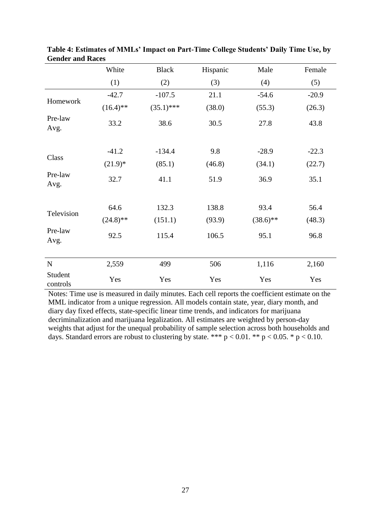|                     | White       | <b>Black</b> | Hispanic | Male        | Female  |
|---------------------|-------------|--------------|----------|-------------|---------|
|                     | (1)         | (2)          | (3)      | (4)         | (5)     |
|                     | $-42.7$     | $-107.5$     | 21.1     | $-54.6$     | $-20.9$ |
| Homework            | $(16.4)$ ** | $(35.1)$ *** | (38.0)   | (55.3)      | (26.3)  |
| Pre-law<br>Avg.     | 33.2        | 38.6         | 30.5     | 27.8        | 43.8    |
|                     | $-41.2$     | $-134.4$     | 9.8      | $-28.9$     | $-22.3$ |
| Class               | $(21.9)*$   | (85.1)       | (46.8)   | (34.1)      | (22.7)  |
| Pre-law<br>Avg.     | 32.7        | 41.1         | 51.9     | 36.9        | 35.1    |
|                     | 64.6        | 132.3        | 138.8    | 93.4        | 56.4    |
| Television          | $(24.8)$ ** | (151.1)      | (93.9)   | $(38.6)$ ** | (48.3)  |
| Pre-law<br>Avg.     | 92.5        | 115.4        | 106.5    | 95.1        | 96.8    |
|                     |             |              |          |             |         |
| ${\bf N}$           | 2,559       | 499          | 506      | 1,116       | 2,160   |
| Student<br>controls | Yes         | Yes          | Yes      | Yes         | Yes     |

**Table 4: Estimates of MMLs' Impact on Part-Time College Students' Daily Time Use, by Gender and Races**

Notes: Time use is measured in daily minutes. Each cell reports the coefficient estimate on the MML indicator from a unique regression. All models contain state, year, diary month, and diary day fixed effects, state-specific linear time trends, and indicators for marijuana decriminalization and marijuana legalization. All estimates are weighted by person-day weights that adjust for the unequal probability of sample selection across both households and days. Standard errors are robust to clustering by state. \*\*\*  $p < 0.01$ . \*\*  $p < 0.05$ . \*  $p < 0.10$ .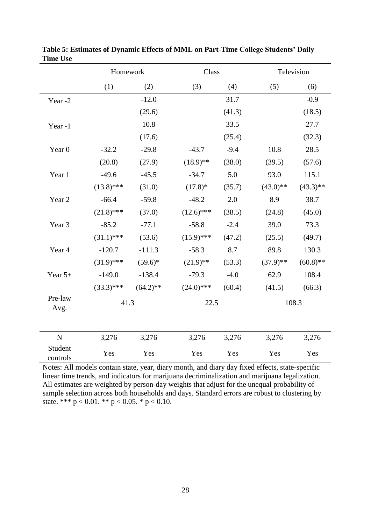|                     | Homework     |             |              | Class  |             | Television  |  |
|---------------------|--------------|-------------|--------------|--------|-------------|-------------|--|
|                     | (1)          | (2)         | (3)          | (4)    | (5)         | (6)         |  |
| Year-2              |              | $-12.0$     |              | 31.7   |             | $-0.9$      |  |
|                     |              | (29.6)      |              | (41.3) |             | (18.5)      |  |
| Year-1              |              | 10.8        |              | 33.5   |             | 27.7        |  |
|                     |              | (17.6)      |              | (25.4) |             | (32.3)      |  |
| Year <sub>0</sub>   | $-32.2$      | $-29.8$     | $-43.7$      | $-9.4$ | 10.8        | 28.5        |  |
|                     | (20.8)       | (27.9)      | $(18.9)$ **  | (38.0) | (39.5)      | (57.6)      |  |
| Year 1              | $-49.6$      | $-45.5$     | $-34.7$      | 5.0    | 93.0        | 115.1       |  |
|                     | $(13.8)$ *** | (31.0)      | $(17.8)$ *   | (35.7) | $(43.0)**$  | $(43.3)$ ** |  |
| Year 2              | $-66.4$      | $-59.8$     | $-48.2$      | 2.0    | 8.9         | 38.7        |  |
|                     | $(21.8)$ *** | (37.0)      | $(12.6)$ *** | (38.5) | (24.8)      | (45.0)      |  |
| Year 3              | $-85.2$      | $-77.1$     | $-58.8$      | $-2.4$ | 39.0        | 73.3        |  |
|                     | $(31.1)$ *** | (53.6)      | $(15.9)$ *** | (47.2) | (25.5)      | (49.7)      |  |
| Year 4              | $-120.7$     | $-111.3$    | $-58.3$      | 8.7    | 89.8        | 130.3       |  |
|                     | $(31.9)$ *** | $(59.6)^*$  | $(21.9)$ **  | (53.3) | $(37.9)$ ** | $(60.8)$ ** |  |
| Year $5+$           | $-149.0$     | $-138.4$    | $-79.3$      | $-4.0$ | 62.9        | 108.4       |  |
|                     | $(33.3)$ *** | $(64.2)$ ** | $(24.0)$ *** | (60.4) | (41.5)      | (66.3)      |  |
| Pre-law<br>Avg.     | 41.3         |             | 22.5         |        |             | 108.3       |  |
| ${\bf N}$           | 3,276        | 3,276       | 3,276        | 3,276  | 3,276       | 3,276       |  |
| Student<br>controls | Yes          | Yes         | Yes          | Yes    | Yes         | Yes         |  |

**Table 5: Estimates of Dynamic Effects of MML on Part-Time College Students' Daily Time Use**

Notes: All models contain state, year, diary month, and diary day fixed effects, state-specific linear time trends, and indicators for marijuana decriminalization and marijuana legalization. All estimates are weighted by person-day weights that adjust for the unequal probability of sample selection across both households and days. Standard errors are robust to clustering by state. \*\*\*  $p < 0.01$ . \*\*  $p < 0.05$ . \*  $p < 0.10$ .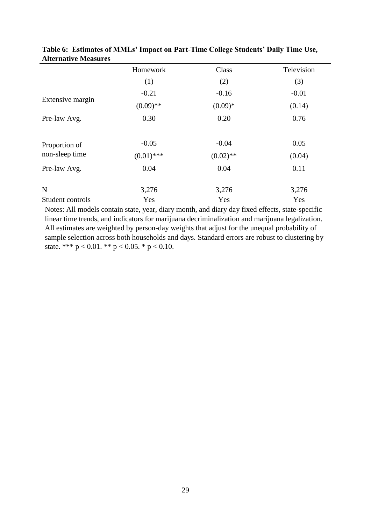|                                 | Homework             | Class               | Television     |
|---------------------------------|----------------------|---------------------|----------------|
|                                 | (1)                  | (2)                 | (3)            |
|                                 | $-0.21$              | $-0.16$             | $-0.01$        |
| Extensive margin                | $(0.09)$ **          | $(0.09)*$           | (0.14)         |
| Pre-law Avg.                    | 0.30                 | 0.20                | 0.76           |
| Proportion of<br>non-sleep time | $-0.05$              | $-0.04$             | 0.05           |
| Pre-law Avg.                    | $(0.01)$ ***<br>0.04 | $(0.02)$ **<br>0.04 | (0.04)<br>0.11 |
|                                 |                      |                     |                |
| $\mathbf N$                     | 3,276                | 3,276               | 3,276          |
| Student controls                | Yes                  | Yes                 | Yes            |

**Table 6: Estimates of MMLs' Impact on Part-Time College Students' Daily Time Use, Alternative Measures**

Notes: All models contain state, year, diary month, and diary day fixed effects, state-specific linear time trends, and indicators for marijuana decriminalization and marijuana legalization. All estimates are weighted by person-day weights that adjust for the unequal probability of sample selection across both households and days. Standard errors are robust to clustering by state. \*\*\*  $p < 0.01$ . \*\*  $p < 0.05$ . \*  $p < 0.10$ .